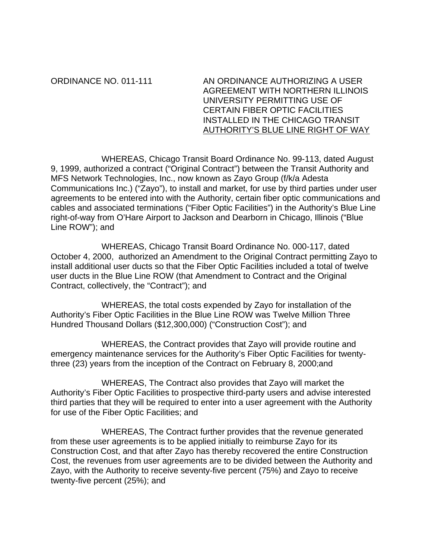ORDINANCE NO. 011-111 AN ORDINANCE AUTHORIZING A USER AGREEMENT WITH NORTHERN ILLINOIS UNIVERSITY PERMITTING USE OF CERTAIN FIBER OPTIC FACILITIES INSTALLED IN THE CHICAGO TRANSIT AUTHORITY'S BLUE LINE RIGHT OF WAY

 WHEREAS, Chicago Transit Board Ordinance No. 99-113, dated August 9, 1999, authorized a contract ("Original Contract") between the Transit Authority and MFS Network Technologies, Inc., now known as Zayo Group (f/k/a Adesta Communications Inc.) ("Zayo"), to install and market, for use by third parties under user agreements to be entered into with the Authority, certain fiber optic communications and cables and associated terminations ("Fiber Optic Facilities") in the Authority's Blue Line right-of-way from O'Hare Airport to Jackson and Dearborn in Chicago, Illinois ("Blue Line ROW"); and

 WHEREAS, Chicago Transit Board Ordinance No. 000-117, dated October 4, 2000, authorized an Amendment to the Original Contract permitting Zayo to install additional user ducts so that the Fiber Optic Facilities included a total of twelve user ducts in the Blue Line ROW (that Amendment to Contract and the Original Contract, collectively, the "Contract"); and

 WHEREAS, the total costs expended by Zayo for installation of the Authority's Fiber Optic Facilities in the Blue Line ROW was Twelve Million Three Hundred Thousand Dollars (\$12,300,000) ("Construction Cost"); and

 WHEREAS, the Contract provides that Zayo will provide routine and emergency maintenance services for the Authority's Fiber Optic Facilities for twentythree (23) years from the inception of the Contract on February 8, 2000;and

 WHEREAS, The Contract also provides that Zayo will market the Authority's Fiber Optic Facilities to prospective third-party users and advise interested third parties that they will be required to enter into a user agreement with the Authority for use of the Fiber Optic Facilities; and

 WHEREAS, The Contract further provides that the revenue generated from these user agreements is to be applied initially to reimburse Zayo for its Construction Cost, and that after Zayo has thereby recovered the entire Construction Cost, the revenues from user agreements are to be divided between the Authority and Zayo, with the Authority to receive seventy-five percent (75%) and Zayo to receive twenty-five percent (25%); and